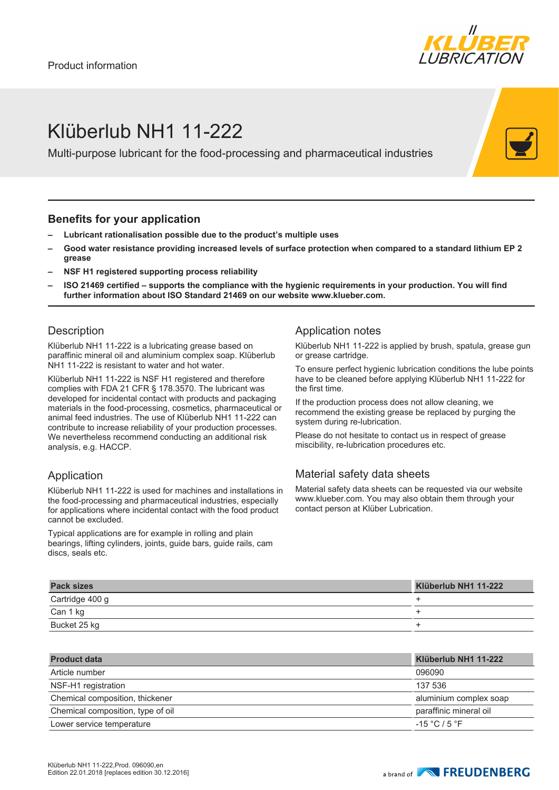

## Klüberlub NH1 11-222

Multi-purpose lubricant for the food-processing and pharmaceutical industries

#### **Benefits for your application**

- **– Lubricant rationalisation possible due to the product's multiple uses**
- **– Good water resistance providing increased levels of surface protection when compared to a standard lithium EP 2 grease**
- **– NSF H1 registered supporting process reliability**
- **– ISO 21469 certified supports the compliance with the hygienic requirements in your production. You will find further information about ISO Standard 21469 on our website www.klueber.com.**

#### **Description**

Klüberlub NH1 11-222 is a lubricating grease based on paraffinic mineral oil and aluminium complex soap. Klüberlub NH1 11-222 is resistant to water and hot water.

Klüberlub NH1 11-222 is NSF H1 registered and therefore complies with FDA 21 CFR § 178.3570. The lubricant was developed for incidental contact with products and packaging materials in the food-processing, cosmetics, pharmaceutical or animal feed industries. The use of Klüberlub NH1 11-222 can contribute to increase reliability of your production processes. We nevertheless recommend conducting an additional risk analysis, e.g. HACCP.

### Application

Klüberlub NH1 11-222 is used for machines and installations in the food-processing and pharmaceutical industries, especially for applications where incidental contact with the food product cannot be excluded.

Typical applications are for example in rolling and plain bearings, lifting cylinders, joints, guide bars, guide rails, cam discs, seals etc.

#### Application notes

Klüberlub NH1 11-222 is applied by brush, spatula, grease gun or grease cartridge.

To ensure perfect hygienic lubrication conditions the lube points have to be cleaned before applying Klüberlub NH1 11-222 for the first time.

If the production process does not allow cleaning, we recommend the existing grease be replaced by purging the system during re-lubrication.

Please do not hesitate to contact us in respect of grease miscibility, re-lubrication procedures etc.

### Material safety data sheets

Material safety data sheets can be requested via our website www.klueber.com. You may also obtain them through your contact person at Klüber Lubrication.

| <b>Pack sizes</b> | Klüberlub NH1 11-222 |
|-------------------|----------------------|
| Cartridge 400 g   |                      |
| Can 1 kg          |                      |
| Bucket 25 kg      |                      |

| <b>Product data</b>               | Klüberlub NH1 11-222   |
|-----------------------------------|------------------------|
| Article number                    | 096090                 |
| NSF-H1 registration               | 137 536                |
| Chemical composition, thickener   | aluminium complex soap |
| Chemical composition, type of oil | paraffinic mineral oil |
| Lower service temperature         | $-15 °C / 5 °F$        |